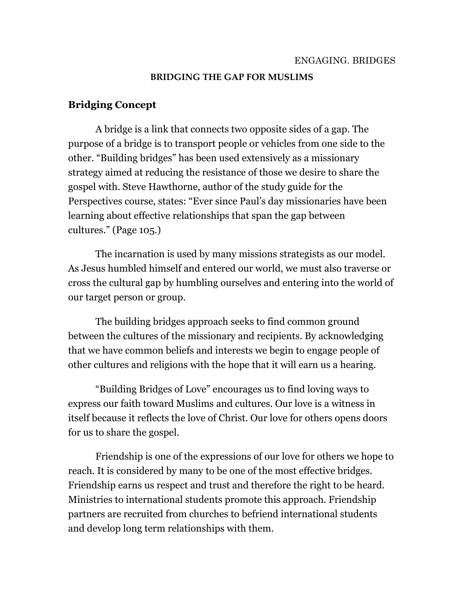#### **BRIDGING THE GAP FOR MUSLIMS**

## **Bridging Concept**

A bridge is a link that connects two opposite sides of a gap. The purpose of a bridge is to transport people or vehicles from one side to the other. "Building bridges" has been used extensively as a missionary strategy aimed at reducing the resistance of those we desire to share the gospel with. Steve Hawthorne, author of the study guide for the Perspectives course, states: "Ever since Paul's day missionaries have been learning about effective relationships that span the gap between cultures." (Page 105.)

 The incarnation is used by many missions strategists as our model. As Jesus humbled himself and entered our world, we must also traverse or cross the cultural gap by humbling ourselves and entering into the world of our target person or group.

 The building bridges approach seeks to find common ground between the cultures of the missionary and recipients. By acknowledging that we have common beliefs and interests we begin to engage people of other cultures and religions with the hope that it will earn us a hearing.

 "Building Bridges of Love" encourages us to find loving ways to express our faith toward Muslims and cultures. Our love is a witness in itself because it reflects the love of Christ. Our love for others opens doors for us to share the gospel.

 Friendship is one of the expressions of our love for others we hope to reach. It is considered by many to be one of the most effective bridges. Friendship earns us respect and trust and therefore the right to be heard. Ministries to international students promote this approach. Friendship partners are recruited from churches to befriend international students and develop long term relationships with them.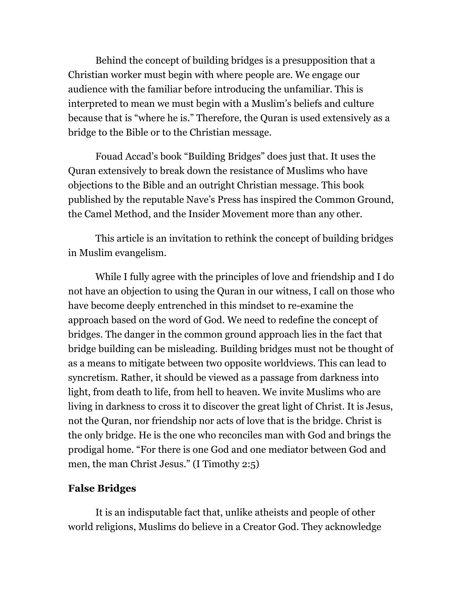Behind the concept of building bridges is a presupposition that a Christian worker must begin with where people are. We engage our audience with the familiar before introducing the unfamiliar. This is interpreted to mean we must begin with a Muslim's beliefs and culture because that is "where he is." Therefore, the Quran is used extensively as a bridge to the Bible or to the Christian message.

 Fouad Accad's book "Building Bridges" does just that. It uses the Quran extensively to break down the resistance of Muslims who have objections to the Bible and an outright Christian message. This book published by the reputable Nave's Press has inspired the Common Ground, the Camel Method, and the Insider Movement more than any other.

 This article is an invitation to rethink the concept of building bridges in Muslim evangelism.

 While I fully agree with the principles of love and friendship and I do not have an objection to using the Quran in our witness, I call on those who have become deeply entrenched in this mindset to re-examine the approach based on the word of God. We need to redefine the concept of bridges. The danger in the common ground approach lies in the fact that bridge building can be misleading. Building bridges must not be thought of as a means to mitigate between two opposite worldviews. This can lead to syncretism. Rather, it should be viewed as a passage from darkness into light, from death to life, from hell to heaven. We invite Muslims who are living in darkness to cross it to discover the great light of Christ. It is Jesus, not the Quran, nor friendship nor acts of love that is the bridge. Christ is the only bridge. He is the one who reconciles man with God and brings the prodigal home. "For there is one God and one mediator between God and men, the man Christ Jesus." (I Timothy 2:5)

#### **False Bridges**

It is an indisputable fact that, unlike atheists and people of other world religions, Muslims do believe in a Creator God. They acknowledge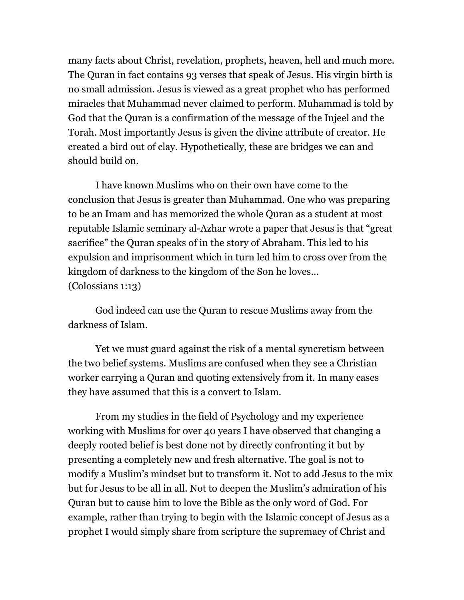many facts about Christ, revelation, prophets, heaven, hell and much more. The Quran in fact contains 93 verses that speak of Jesus. His virgin birth is no small admission. Jesus is viewed as a great prophet who has performed miracles that Muhammad never claimed to perform. Muhammad is told by God that the Quran is a confirmation of the message of the Injeel and the Torah. Most importantly Jesus is given the divine attribute of creator. He created a bird out of clay. Hypothetically, these are bridges we can and should build on.

 I have known Muslims who on their own have come to the conclusion that Jesus is greater than Muhammad. One who was preparing to be an Imam and has memorized the whole Quran as a student at most reputable Islamic seminary al-Azhar wrote a paper that Jesus is that "great sacrifice" the Quran speaks of in the story of Abraham. This led to his expulsion and imprisonment which in turn led him to cross over from the kingdom of darkness to the kingdom of the Son he loves... (Colossians 1:13)

 God indeed can use the Quran to rescue Muslims away from the darkness of Islam.

 Yet we must guard against the risk of a mental syncretism between the two belief systems. Muslims are confused when they see a Christian worker carrying a Quran and quoting extensively from it. In many cases they have assumed that this is a convert to Islam.

 From my studies in the field of Psychology and my experience working with Muslims for over 40 years I have observed that changing a deeply rooted belief is best done not by directly confronting it but by presenting a completely new and fresh alternative. The goal is not to modify a Muslim's mindset but to transform it. Not to add Jesus to the mix but for Jesus to be all in all. Not to deepen the Muslim's admiration of his Quran but to cause him to love the Bible as the only word of God. For example, rather than trying to begin with the Islamic concept of Jesus as a prophet I would simply share from scripture the supremacy of Christ and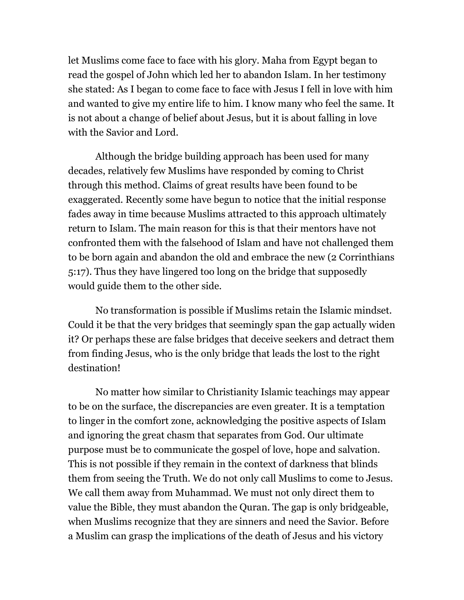let Muslims come face to face with his glory. Maha from Egypt began to read the gospel of John which led her to abandon Islam. In her testimony she stated: As I began to come face to face with Jesus I fell in love with him and wanted to give my entire life to him. I know many who feel the same. It is not about a change of belief about Jesus, but it is about falling in love with the Savior and Lord.

 Although the bridge building approach has been used for many decades, relatively few Muslims have responded by coming to Christ through this method. Claims of great results have been found to be exaggerated. Recently some have begun to notice that the initial response fades away in time because Muslims attracted to this approach ultimately return to Islam. The main reason for this is that their mentors have not confronted them with the falsehood of Islam and have not challenged them to be born again and abandon the old and embrace the new (2 Corrinthians 5:17). Thus they have lingered too long on the bridge that supposedly would guide them to the other side.

 No transformation is possible if Muslims retain the Islamic mindset. Could it be that the very bridges that seemingly span the gap actually widen it? Or perhaps these are false bridges that deceive seekers and detract them from finding Jesus, who is the only bridge that leads the lost to the right destination!

 No matter how similar to Christianity Islamic teachings may appear to be on the surface, the discrepancies are even greater. It is a temptation to linger in the comfort zone, acknowledging the positive aspects of Islam and ignoring the great chasm that separates from God. Our ultimate purpose must be to communicate the gospel of love, hope and salvation. This is not possible if they remain in the context of darkness that blinds them from seeing the Truth. We do not only call Muslims to come to Jesus. We call them away from Muhammad. We must not only direct them to value the Bible, they must abandon the Quran. The gap is only bridgeable, when Muslims recognize that they are sinners and need the Savior. Before a Muslim can grasp the implications of the death of Jesus and his victory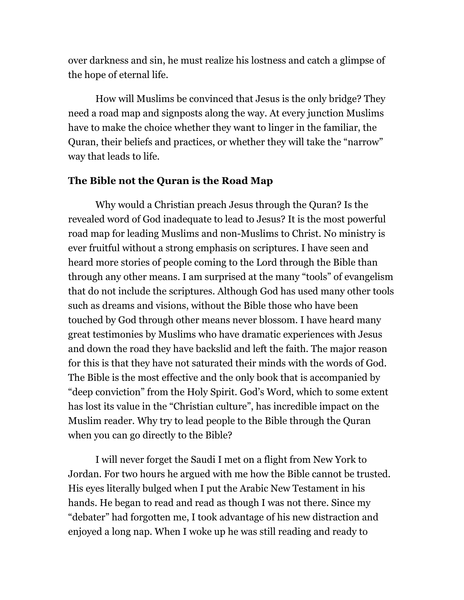over darkness and sin, he must realize his lostness and catch a glimpse of the hope of eternal life.

 How will Muslims be convinced that Jesus is the only bridge? They need a road map and signposts along the way. At every junction Muslims have to make the choice whether they want to linger in the familiar, the Quran, their beliefs and practices, or whether they will take the "narrow" way that leads to life.

#### **The Bible not the Quran is the Road Map**

Why would a Christian preach Jesus through the Quran? Is the revealed word of God inadequate to lead to Jesus? It is the most powerful road map for leading Muslims and non-Muslims to Christ. No ministry is ever fruitful without a strong emphasis on scriptures. I have seen and heard more stories of people coming to the Lord through the Bible than through any other means. I am surprised at the many "tools" of evangelism that do not include the scriptures. Although God has used many other tools such as dreams and visions, without the Bible those who have been touched by God through other means never blossom. I have heard many great testimonies by Muslims who have dramatic experiences with Jesus and down the road they have backslid and left the faith. The major reason for this is that they have not saturated their minds with the words of God. The Bible is the most effective and the only book that is accompanied by "deep conviction" from the Holy Spirit. God's Word, which to some extent has lost its value in the "Christian culture", has incredible impact on the Muslim reader. Why try to lead people to the Bible through the Quran when you can go directly to the Bible?

 I will never forget the Saudi I met on a flight from New York to Jordan. For two hours he argued with me how the Bible cannot be trusted. His eyes literally bulged when I put the Arabic New Testament in his hands. He began to read and read as though I was not there. Since my "debater" had forgotten me, I took advantage of his new distraction and enjoyed a long nap. When I woke up he was still reading and ready to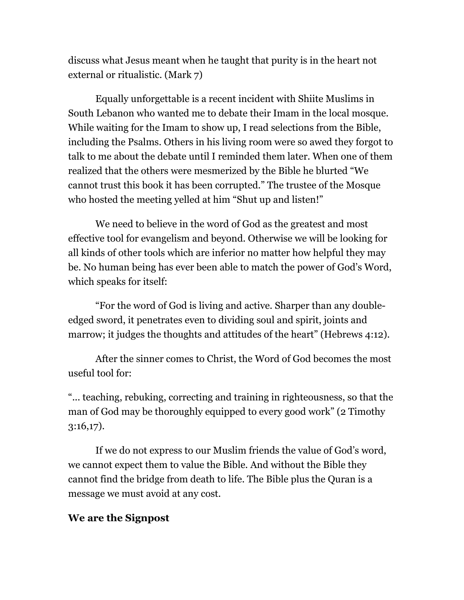discuss what Jesus meant when he taught that purity is in the heart not external or ritualistic. (Mark 7)

 Equally unforgettable is a recent incident with Shiite Muslims in South Lebanon who wanted me to debate their Imam in the local mosque. While waiting for the Imam to show up, I read selections from the Bible, including the Psalms. Others in his living room were so awed they forgot to talk to me about the debate until I reminded them later. When one of them realized that the others were mesmerized by the Bible he blurted "We cannot trust this book it has been corrupted." The trustee of the Mosque who hosted the meeting yelled at him "Shut up and listen!"

 We need to believe in the word of God as the greatest and most effective tool for evangelism and beyond. Otherwise we will be looking for all kinds of other tools which are inferior no matter how helpful they may be. No human being has ever been able to match the power of God's Word, which speaks for itself:

 "For the word of God is living and active. Sharper than any doubleedged sword, it penetrates even to dividing soul and spirit, joints and marrow; it judges the thoughts and attitudes of the heart" (Hebrews 4:12).

 After the sinner comes to Christ, the Word of God becomes the most useful tool for:

"... teaching, rebuking, correcting and training in righteousness, so that the man of God may be thoroughly equipped to every good work" (2 Timothy 3:16,17).

 If we do not express to our Muslim friends the value of God's word, we cannot expect them to value the Bible. And without the Bible they cannot find the bridge from death to life. The Bible plus the Quran is a message we must avoid at any cost.

#### **We are the Signpost**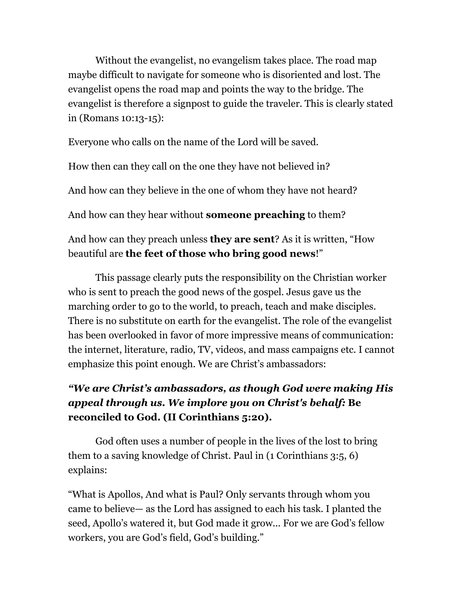Without the evangelist, no evangelism takes place. The road map maybe difficult to navigate for someone who is disoriented and lost. The evangelist opens the road map and points the way to the bridge. The evangelist is therefore a signpost to guide the traveler. This is clearly stated in (Romans 10:13-15):

Everyone who calls on the name of the Lord will be saved.

How then can they call on the one they have not believed in?

And how can they believe in the one of whom they have not heard?

And how can they hear without **someone preaching** to them?

# And how can they preach unless **they are sent**? As it is written, "How beautiful are **the feet of those who bring good news**!"

 This passage clearly puts the responsibility on the Christian worker who is sent to preach the good news of the gospel. Jesus gave us the marching order to go to the world, to preach, teach and make disciples. There is no substitute on earth for the evangelist. The role of the evangelist has been overlooked in favor of more impressive means of communication: the internet, literature, radio, TV, videos, and mass campaigns etc. I cannot emphasize this point enough. We are Christ's ambassadors:

# *"We are Christ's ambassadors, as though God were making His appeal through us. We implore you on Christ's behalf:* **Be reconciled to God. (II Corinthians 5:20).**

God often uses a number of people in the lives of the lost to bring them to a saving knowledge of Christ. Paul in (1 Corinthians 3:5, 6) explains:

"What is Apollos, And what is Paul? Only servants through whom you came to believe— as the Lord has assigned to each his task. I planted the seed, Apollo's watered it, but God made it grow... For we are God's fellow workers, you are God's field, God's building."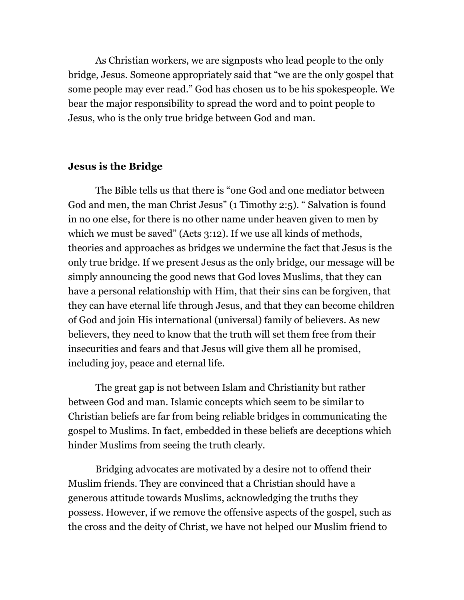As Christian workers, we are signposts who lead people to the only bridge, Jesus. Someone appropriately said that "we are the only gospel that some people may ever read." God has chosen us to be his spokespeople. We bear the major responsibility to spread the word and to point people to Jesus, who is the only true bridge between God and man.

#### **Jesus is the Bridge**

The Bible tells us that there is "one God and one mediator between God and men, the man Christ Jesus" (1 Timothy 2:5). " Salvation is found in no one else, for there is no other name under heaven given to men by which we must be saved" (Acts 3:12). If we use all kinds of methods, theories and approaches as bridges we undermine the fact that Jesus is the only true bridge. If we present Jesus as the only bridge, our message will be simply announcing the good news that God loves Muslims, that they can have a personal relationship with Him, that their sins can be forgiven, that they can have eternal life through Jesus, and that they can become children of God and join His international (universal) family of believers. As new believers, they need to know that the truth will set them free from their insecurities and fears and that Jesus will give them all he promised, including joy, peace and eternal life.

 The great gap is not between Islam and Christianity but rather between God and man. Islamic concepts which seem to be similar to Christian beliefs are far from being reliable bridges in communicating the gospel to Muslims. In fact, embedded in these beliefs are deceptions which hinder Muslims from seeing the truth clearly.

 Bridging advocates are motivated by a desire not to offend their Muslim friends. They are convinced that a Christian should have a generous attitude towards Muslims, acknowledging the truths they possess. However, if we remove the offensive aspects of the gospel, such as the cross and the deity of Christ, we have not helped our Muslim friend to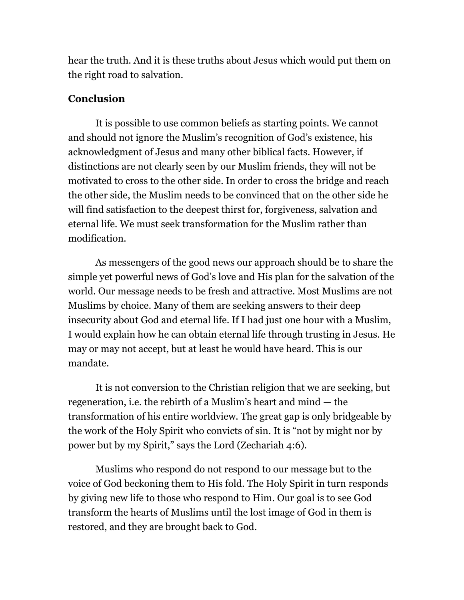hear the truth. And it is these truths about Jesus which would put them on the right road to salvation.

## **Conclusion**

It is possible to use common beliefs as starting points. We cannot and should not ignore the Muslim's recognition of God's existence, his acknowledgment of Jesus and many other biblical facts. However, if distinctions are not clearly seen by our Muslim friends, they will not be motivated to cross to the other side. In order to cross the bridge and reach the other side, the Muslim needs to be convinced that on the other side he will find satisfaction to the deepest thirst for, forgiveness, salvation and eternal life. We must seek transformation for the Muslim rather than modification.

 As messengers of the good news our approach should be to share the simple yet powerful news of God's love and His plan for the salvation of the world. Our message needs to be fresh and attractive. Most Muslims are not Muslims by choice. Many of them are seeking answers to their deep insecurity about God and eternal life. If I had just one hour with a Muslim, I would explain how he can obtain eternal life through trusting in Jesus. He may or may not accept, but at least he would have heard. This is our mandate.

 It is not conversion to the Christian religion that we are seeking, but regeneration, i.e. the rebirth of a Muslim's heart and mind — the transformation of his entire worldview. The great gap is only bridgeable by the work of the Holy Spirit who convicts of sin. It is "not by might nor by power but by my Spirit," says the Lord (Zechariah 4:6).

 Muslims who respond do not respond to our message but to the voice of God beckoning them to His fold. The Holy Spirit in turn responds by giving new life to those who respond to Him. Our goal is to see God transform the hearts of Muslims until the lost image of God in them is restored, and they are brought back to God.